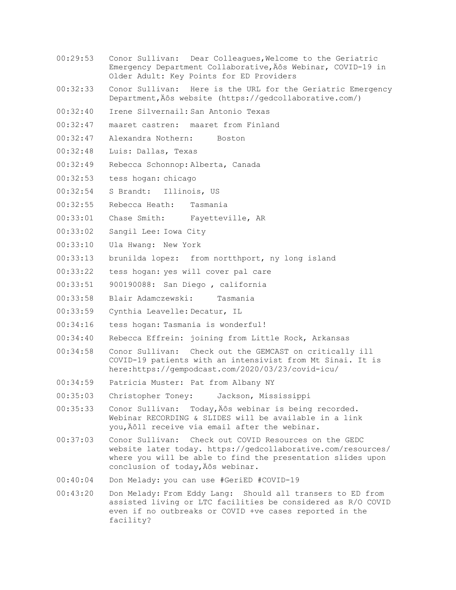- 00:29:53 Conor Sullivan: Dear Colleagues,Welcome to the Geriatric Emergency Department Collaborative, Äôs Webinar, COVID-19 in Older Adult: Key Points for ED Providers
- 00:32:33 Conor Sullivan: Here is the URL for the Geriatric Emergency Department, Äôs website (https://gedcollaborative.com/)
- 00:32:40 Irene Silvernail: San Antonio Texas
- 00:32:47 maaret castren: maaret from Finland
- 00:32:47 Alexandra Nothern: Boston
- 00:32:48 Luis: Dallas, Texas
- 00:32:49 Rebecca Schonnop: Alberta, Canada
- 00:32:53 tess hogan: chicago
- 00:32:54 S Brandt: Illinois, US
- 00:32:55 Rebecca Heath: Tasmania
- 00:33:01 Chase Smith: Fayetteville, AR
- 00:33:02 Sangil Lee: Iowa City
- 00:33:10 Ula Hwang: New York
- 00:33:13 brunilda lopez: from nortthport, ny long island
- 00:33:22 tess hogan: yes will cover pal care
- 00:33:51 900190088: San Diego , california
- 00:33:58 Blair Adamczewski: Tasmania
- 00:33:59 Cynthia Leavelle: Decatur, IL
- 00:34:16 tess hogan: Tasmania is wonderful!
- 00:34:40 Rebecca Effrein: joining from Little Rock, Arkansas
- 00:34:58 Conor Sullivan: Check out the GEMCAST on critically ill COVID-19 patients with an intensivist from Mt Sinai. It is here:https://gempodcast.com/2020/03/23/covid-icu/
- 00:34:59 Patricia Muster: Pat from Albany NY
- 00:35:03 Christopher Toney: Jackson, Mississippi
- 00:35:33 Conor Sullivan: Today, Äôs webinar is being recorded. Webinar RECORDING & SLIDES will be available in a link you, Äôll receive via email after the webinar.
- 00:37:03 Conor Sullivan: Check out COVID Resources on the GEDC website later today. https://gedcollaborative.com/resources/ where you will be able to find the presentation slides upon conclusion of today, Äôs webinar.
- 00:40:04 Don Melady: you can use #GeriED #COVID-19
- 00:43:20 Don Melady: From Eddy Lang: Should all transers to ED from assisted living or LTC facilities be considered as R/O COVID even if no outbreaks or COVID +ve cases reported in the facility?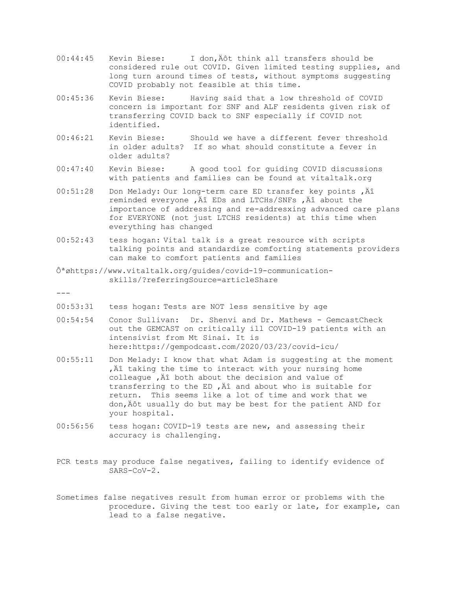- 00:44:45 Kevin Biese: I don, Äôt think all transfers should be considered rule out COVID. Given limited testing supplies, and long turn around times of tests, without symptoms suggesting COVID probably not feasible at this time.
- 00:45:36 Kevin Biese: Having said that a low threshold of COVID concern is important for SNF and ALF residents given risk of transferring COVID back to SNF especially if COVID not identified.
- 00:46:21 Kevin Biese: Should we have a different fever threshold in older adults? If so what should constitute a fever in older adults?
- 00:47:40 Kevin Biese: A good tool for guiding COVID discussions with patients and families can be found at vitaltalk.org
- 00:51:28 Don Melady: Our long-term care ED transfer key points , Äî reminded everyone , Äî EDs and LTCHs/SNFs , Äî about the importance of addressing and re-addresxing advanced care plans for EVERYONE (not just LTCHS residents) at this time when everything has changed
- 00:52:43 tess hogan: Vital talk is a great resource with scripts talking points and standardize comforting statements providers can make to comfort patients and families
- Ôªøhttps://www.vitaltalk.org/guides/covid-19-communicationskills/?referringSource=articleShare

 $-$ --

- 00:53:31 tess hogan: Tests are NOT less sensitive by age
- 00:54:54 Conor Sullivan: Dr. Shenvi and Dr. Mathews GemcastCheck out the GEMCAST on critically ill COVID-19 patients with an intensivist from Mt Sinai. It is here:https://gempodcast.com/2020/03/23/covid-icu/
- 00:55:11 Don Melady: I know that what Adam is suggesting at the moment , Äî taking the time to interact with your nursing home colleague  $\overrightarrow{A}$  both about the decision and value of transferring to the ED,  $\tilde{A}$  and about who is suitable for return. This seems like a lot of time and work that we don, Äôt usually do but may be best for the patient AND for your hospital.
- 00:56:56 tess hogan: COVID-19 tests are new, and assessing their accuracy is challenging.
- PCR tests may produce false negatives, failing to identify evidence of SARS-CoV-2.
- Sometimes false negatives result from human error or problems with the procedure. Giving the test too early or late, for example, can lead to a false negative.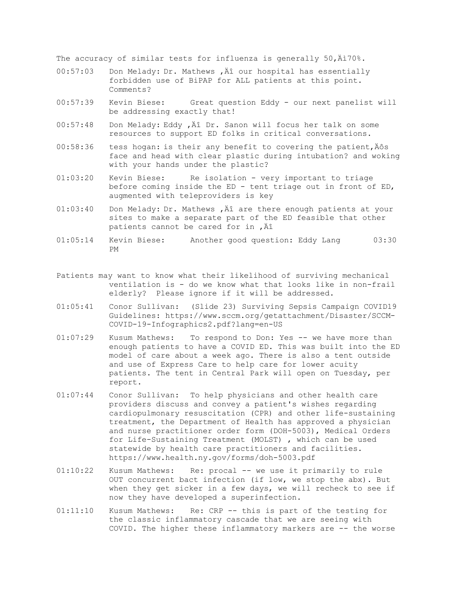The accuracy of similar tests for influenza is generally  $50,\dot{A}$ 170%.

- 00:57:03 Don Melady: Dr. Mathews, Äî our hospital has essentially forbidden use of BiPAP for ALL patients at this point. Comments?
- 00:57:39 Kevin Biese: Great question Eddy our next panelist will be addressing exactly that!
- 00:57:48 Don Melady: Eddy, Äî Dr. Sanon will focus her talk on some resources to support ED folks in critical conversations.
- $00:58:36$  tess hogan: is their any benefit to covering the patient,  $A\hat{o}s$ face and head with clear plastic during intubation? and woking with your hands under the plastic?
- 01:03:20 Kevin Biese: Re isolation very important to triage before coming inside the ED - tent triage out in front of ED, augmented with teleproviders is key
- 01:03:40 Don Melady: Dr. Mathews, Äî are there enough patients at your sites to make a separate part of the ED feasible that other patients cannot be cared for in , Äî
- 01:05:14 Kevin Biese: Another good question: Eddy Lang 03:30 PM
- Patients may want to know what their likelihood of surviving mechanical ventilation is - do we know what that looks like in non-frail elderly? Please ignore if it will be addressed.
- 01:05:41 Conor Sullivan: (Slide 23) Surviving Sepsis Campaign COVID19 Guidelines: https://www.sccm.org/getattachment/Disaster/SCCM-COVID-19-Infographics2.pdf?lang=en-US
- 01:07:29 Kusum Mathews: To respond to Don: Yes -- we have more than enough patients to have a COVID ED. This was built into the ED model of care about a week ago. There is also a tent outside and use of Express Care to help care for lower acuity patients. The tent in Central Park will open on Tuesday, per report.
- 01:07:44 Conor Sullivan: To help physicians and other health care providers discuss and convey a patient's wishes regarding cardiopulmonary resuscitation (CPR) and other life-sustaining treatment, the Department of Health has approved a physician and nurse practitioner order form (DOH-5003), Medical Orders for Life-Sustaining Treatment (MOLST) , which can be used statewide by health care practitioners and facilities. https://www.health.ny.gov/forms/doh-5003.pdf
- 01:10:22 Kusum Mathews: Re: procal -- we use it primarily to rule OUT concurrent bact infection (if low, we stop the abx). But when they get sicker in a few days, we will recheck to see if now they have developed a superinfection.
- 01:11:10 Kusum Mathews: Re: CRP -- this is part of the testing for the classic inflammatory cascade that we are seeing with COVID. The higher these inflammatory markers are -- the worse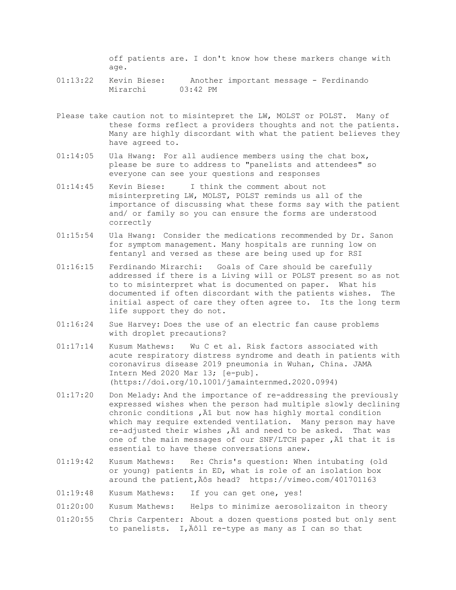off patients are. I don't know how these markers change with age.

- 01:13:22 Kevin Biese: Another important message Ferdinando Mirarchi 03:42 PM
- Please take caution not to misintepret the LW, MOLST or POLST. Many of these forms reflect a providers thoughts and not the patients. Many are highly discordant with what the patient believes they have agreed to.
- 01:14:05 Ula Hwang: For all audience members using the chat box, please be sure to address to "panelists and attendees" so everyone can see your questions and responses
- 01:14:45 Kevin Biese: I think the comment about not misinterpreting LW, MOLST, POLST reminds us all of the importance of discussing what these forms say with the patient and/ or family so you can ensure the forms are understood correctly
- 01:15:54 Ula Hwang: Consider the medications recommended by Dr. Sanon for symptom management. Many hospitals are running low on fentanyl and versed as these are being used up for RSI
- 01:16:15 Ferdinando Mirarchi: Goals of Care should be carefully addressed if there is a Living will or POLST present so as not to to misinterpret what is documented on paper. What his documented if often discordant with the patients wishes. The initial aspect of care they often agree to. Its the long term life support they do not.
- 01:16:24 Sue Harvey: Does the use of an electric fan cause problems with droplet precautions?
- 01:17:14 Kusum Mathews: Wu C et al. Risk factors associated with acute respiratory distress syndrome and death in patients with coronavirus disease 2019 pneumonia in Wuhan, China. JAMA Intern Med 2020 Mar 13; [e-pub]. (https://doi.org/10.1001/jamainternmed.2020.0994)
- 01:17:20 Don Melady: And the importance of re-addressing the previously expressed wishes when the person had multiple slowly declining chronic conditions ,  $\tilde{A}$  but now has highly mortal condition which may require extended ventilation. Many person may have re-adjusted their wishes  $\mu$ , A and need to be asked. That was one of the main messages of our SNF/LTCH paper, Al that it is essential to have these conversations anew.
- 01:19:42 Kusum Mathews: Re: Chris's question: When intubating (old or young) patients in ED, what is role of an isolation box around the patient, Äôs head? https://vimeo.com/401701163
- 01:19:48 Kusum Mathews: If you can get one, yes!
- 01:20:00 Kusum Mathews: Helps to minimize aerosolizaiton in theory
- 01:20:55 Chris Carpenter: About a dozen questions posted but only sent to panelists. I, Äôll re-type as many as I can so that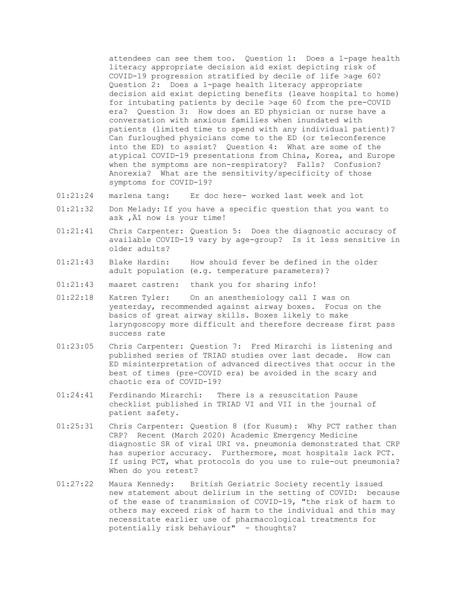attendees can see them too. Question 1: Does a 1-page health literacy appropriate decision aid exist depicting risk of COVID-19 progression stratified by decile of life >age 60? Question 2: Does a 1-page health literacy appropriate decision aid exist depicting benefits (leave hospital to home) for intubating patients by decile >age 60 from the pre-COVID era? Question 3: How does an ED physician or nurse have a conversation with anxious families when inundated with patients (limited time to spend with any individual patient)? Can furloughed physicians come to the ED (or teleconference into the ED) to assist? Question 4: What are some of the atypical COVID-19 presentations from China, Korea, and Europe when the symptoms are non-respiratory? Falls? Confusion? Anorexia? What are the sensitivity/specificity of those symptoms for COVID-19?

- 01:21:24 marlena tang: Er doc here- worked last week and lot
- 01:21:32 Don Melady: If you have a specific question that you want to ask, Äî now is your time!
- 01:21:41 Chris Carpenter: Question 5: Does the diagnostic accuracy of available COVID-19 vary by age-group? Is it less sensitive in older adults?
- 01:21:43 Blake Hardin: How should fever be defined in the older adult population (e.g. temperature parameters)?
- 01:21:43 maaret castren: thank you for sharing info!
- 01:22:18 Katren Tyler: On an anesthesiology call I was on yesterday, recommended against airway boxes. Focus on the basics of great airway skills. Boxes likely to make laryngoscopy more difficult and therefore decrease first pass success rate
- 01:23:05 Chris Carpenter: Question 7: Fred Mirarchi is listening and published series of TRIAD studies over last decade. How can ED misinterpretation of advanced directives that occur in the best of times (pre-COVID era) be avoided in the scary and chaotic era of COVID-19?
- 01:24:41 Ferdinando Mirarchi: There is a resuscitation Pause checklist published in TRIAD VI and VII in the journal of patient safety.
- 01:25:31 Chris Carpenter: Question 8 (for Kusum): Why PCT rather than CRP? Recent (March 2020) Academic Emergency Medicine diagnostic SR of viral URI vs. pneumonia demonstrated that CRP has superior accuracy. Furthermore, most hospitals lack PCT. If using PCT, what protocols do you use to rule-out pneumonia? When do you retest?
- 01:27:22 Maura Kennedy: British Geriatric Society recently issued new statement about delirium in the setting of COVID: because of the ease of transmission of COVID-19, "the risk of harm to others may exceed risk of harm to the individual and this may necessitate earlier use of pharmacological treatments for potentially risk behaviour" - thoughts?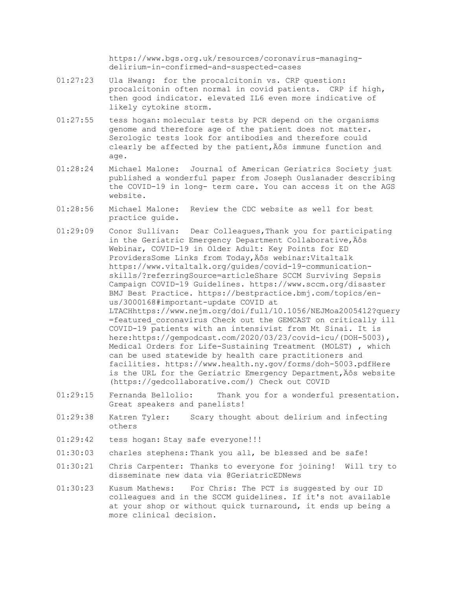https://www.bgs.org.uk/resources/coronavirus-managingdelirium-in-confirmed-and-suspected-cases

- 01:27:23 Ula Hwang: for the procalcitonin vs. CRP question: procalcitonin often normal in covid patients. CRP if high, then good indicator. elevated IL6 even more indicative of likely cytokine storm.
- 01:27:55 tess hogan: molecular tests by PCR depend on the organisms genome and therefore age of the patient does not matter. Serologic tests look for antibodies and therefore could clearly be affected by the patient, Äôs immune function and age.
- 01:28:24 Michael Malone: Journal of American Geriatrics Society just published a wonderful paper from Joseph Ouslanader describing the COVID-19 in long- term care. You can access it on the AGS website.
- 01:28:56 Michael Malone: Review the CDC website as well for best practice guide.
- 01:29:09 Conor Sullivan: Dear Colleagues,Thank you for participating in the Geriatric Emergency Department Collaborative, Äôs Webinar, COVID-19 in Older Adult: Key Points for ED ProvidersSome Links from Today, Äôs webinar:Vitaltalk https://www.vitaltalk.org/guides/covid-19-communicationskills/?referringSource=articleShare SCCM Surviving Sepsis Campaign COVID-19 Guidelines. https://www.sccm.org/disaster BMJ Best Practice. https://bestpractice.bmj.com/topics/enus/3000168#important-update COVID at LTACHhttps://www.nejm.org/doi/full/10.1056/NEJMoa2005412?query =featured\_coronavirus Check out the GEMCAST on critically ill COVID-19 patients with an intensivist from Mt Sinai. It is here:https://gempodcast.com/2020/03/23/covid-icu/(DOH-5003), Medical Orders for Life-Sustaining Treatment (MOLST) , which can be used statewide by health care practitioners and facilities. https://www.health.ny.gov/forms/doh-5003.pdfHere is the URL for the Geriatric Emergency Department, Äôs website (https://gedcollaborative.com/) Check out COVID
- 01:29:15 Fernanda Bellolio: Thank you for a wonderful presentation. Great speakers and panelists!
- 01:29:38 Katren Tyler: Scary thought about delirium and infecting others
- 01:29:42 tess hogan: Stay safe everyone!!!
- 01:30:03 charles stephens: Thank you all, be blessed and be safe!
- 01:30:21 Chris Carpenter: Thanks to everyone for joining! Will try to disseminate new data via @GeriatricEDNews
- 01:30:23 Kusum Mathews: For Chris: The PCT is suggested by our ID colleagues and in the SCCM guidelines. If it's not available at your shop or without quick turnaround, it ends up being a more clinical decision.